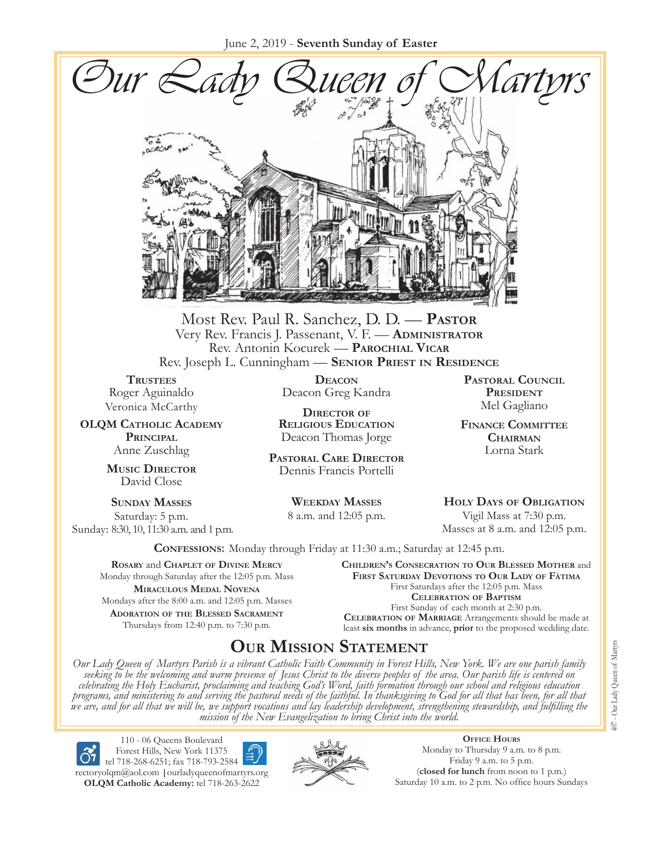June 2, 2019 - **Seventh Sunday of Easter**



Most Rev. Paul R. Sanchez, D. D. — **Pastor** Very Rev. Francis J. Passenant, V. F. — **Administrator** Rev. Antonin Kocurek — **Parochial Vicar** Rev. Joseph L. Cunningham — **Senior Priest in Residence**

**TRUSTEES** Roger Aguinaldo Veronica McCarthy

**OLQM Catholic Academy Principal** Anne Zuschlag

> **Music Director** David Close

**Sunday Masses** Saturday: 5 p.m. Sunday: 8:30, 10, 11:30 a.m. and 1 p.m.

**Deacon** Deacon Greg Kandra

**Director of Religious Education** Deacon Thomas Jorge

**Pastoral Care Director** Dennis Francis Portelli

> **Weekday Masses** 8 a.m. and 12:05 p.m.

**Pastoral Council** PRESIDENT Mel Gagliano

**Finance Committee Chairman** Lorna Stark

**Holy Days of Obligation** Vigil Mass at 7:30 p.m. Masses at 8 a.m. and 12:05 p.m.

**Confessions:** Monday through Friday at 11:30 a.m.; Saturday at 12:45 p.m.

**Rosary** and **Chaplet of Divine Mercy** Monday through Saturday after the 12:05 p.m. Mass **Miraculous Medal Novena** Mondays after the 8:00 a.m. and 12:05 p.m. Masses **Adoration of the Blessed Sacrament** Thursdays from 12:40 p.m. to 7:30 p.m.

**Children's Consecration to Our Blessed Mother** and **First Saturday Devotions to Our Lady of Fátima** First Saturdays after the 12:05 p.m. Mass **Celebration of Baptism** First Sunday of each month at 2:30 p.m. **Celebration of Marriage** Arrangements should be made at

least **six months** in advance, **prior** to the proposed wedding date.

# **Our Mission Statement**

Our Lady Queen of Martyrs Parish is a vibrant Catholic Faith Community in Forest Hills, New York. We are one parish family<br>seeking to be the welcoming and warm presence of Jesus Christ to the diverse peoples of the area. O *celebrating the Holy Eucharist, proclaiming and teaching God's Word, faith formation through our school and religious education*  programs, and ministering to and serving the pastoral needs of the faithful. In thanksgiving to God for all that has been, for all that<br>we are, and for all that we will be, we support vocations and lay leadership developme *mission of the New Evangelization to bring Christ into the world.*

110 - 06 Queens Boulevard Forest Hills, New York 11375 tel 718-268-6251; fax 718-793-2584 [rectoryolqm@aol.com](mailto:rectoryolqm@aol.com) **|**[ourladyqueenofmartyrs.org](www.ourladyqueenofmartyrs.org) **OLQM Catholic Academy:** tel 718-263-2622



**Office Hours** Monday to Thursday 9 a.m. to 8 p.m. Friday 9 a.m. to 5 p.m. (**closed for lunch** from noon to 1 p.m.) Saturday 10 a.m. to 2 p.m. No office hours Sundays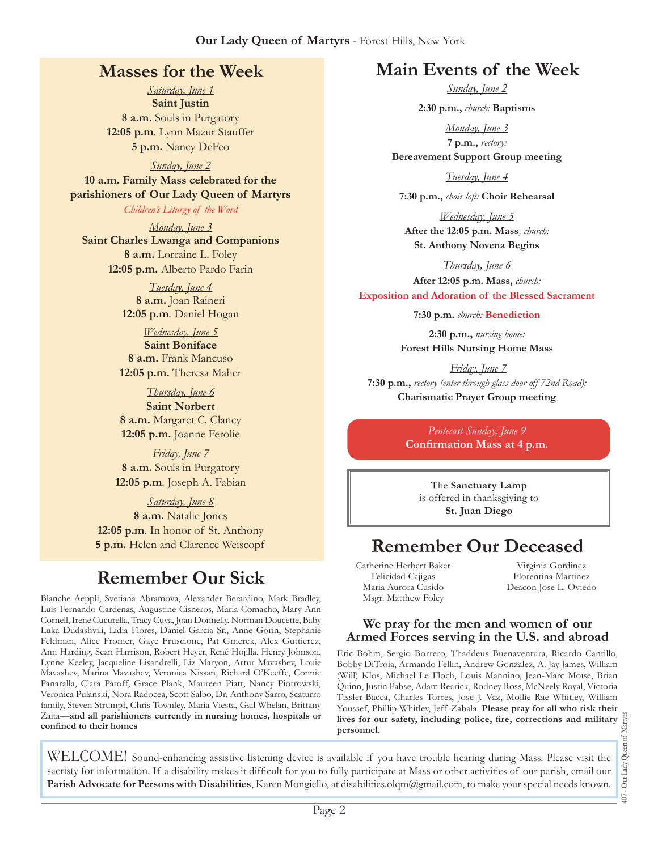# **Masses for the Week**

*Saturday, June 1* **Saint Justin 8 a.m.** Souls in Purgatory **12:05 p.m***.* Lynn Mazur Stauffer **5 p.m.** Nancy DeFeo

*Sunday, June 2* **10 a.m. Family Mass celebrated for the parishioners of Our Lady Queen of Martyrs**

*Children's Liturgy of the Word* 

*Monday, June 3* **Saint Charles Lwanga and Companions 8 a.m.** Lorraine L. Foley **12:05 p.m.** Alberto Pardo Farin

> *Tuesday, June 4* **8 a.m.** Joan Raineri **12:05 p.m***.* Daniel Hogan

*Wednesday, June 5* **Saint Boniface 8 a.m.** Frank Mancuso **12:05 p.m.** Theresa Maher

*Thursday, June 6* **Saint Norbert 8 a.m.** Margaret C. Clancy **12:05 p.m.** Joanne Ferolie

*Friday, June 7* **8 a.m.** Souls in Purgatory **12:05 p.m***.* Joseph A. Fabian

*Saturday, June 8* **8 a.m.** Natalie Jones **12:05 p.m***.* In honor of St. Anthony **5 p.m.** Helen and Clarence Weiscopf

# **Remember Our Sick**

Blanche Aeppli, Svetiana Abramova, Alexander Berardino, Mark Bradley, Luis Fernando Cardenas, Augustine Cisneros, Maria Comacho, Mary Ann Cornell, Irene Cucurella, Tracy Cuva, Joan Donnelly, Norman Doucette, Baby Luka Dudashvili, Lidia Flores, Daniel Garcia Sr., Anne Gorin, Stephanie Feldman, Alice Fromer, Gaye Fruscione, Pat Gmerek, Alex Guttierez, Ann Harding, Sean Harrison, Robert Heyer, René Hojilla, Henry Johnson, Lynne Keeley, Jacqueline Lisandrelli, Liz Maryon, Artur Mavashev, Louie Mavashev, Marina Mavashev, Veronica Nissan, Richard O'Keeffe, Connie Panaralla, Clara Patoff, Grace Plank, Maureen Piatt, Nancy Piotrowski, Veronica Pulanski, Nora Radocea, Scott Salbo, Dr. Anthony Sarro, Scaturro family, Steven Strumpf, Chris Townley, Maria Viesta, Gail Whelan, Brittany Zaita—**and all parishioners currently in nursing homes, hospitals or confined to their homes**

# **Main Events of the Week**

*Sunday, June 2*

**2:30 p.m.,** *church:* **Baptisms**

*Monday, June 3* **7 p.m.,** *rectory:*  **Bereavement Support Group meeting**

*Tuesday, June 4*

**7:30 p.m.,** *choir loft:* **Choir Rehearsal**

*Wednesday, June 5* **After the 12:05 p.m. Mass***, church:* **St. Anthony Novena Begins**

*Thursday, June 6* **After 12:05 p.m. Mass,** *church:*  **Exposition and Adoration of the Blessed Sacrament**

**7:30 p.m.** *church:* **Benediction**

**2:30 p.m.,** *nursing home:*  **Forest Hills Nursing Home Mass**

*Friday, June 7* **7:30 p.m.,** *rectory (enter through glass door off 72nd Road):* **Charismatic Prayer Group meeting**

> *Pentecost Sunday, June 9* **Confirmation Mass at 4 p.m.**

The **Sanctuary Lamp** is offered in thanksgiving to **St. Juan Diego**

# **Remember Our Deceased**

Catherine Herbert Baker Felicidad Cajigas Maria Aurora Cusido Msgr. Matthew Foley

Virginia Gordinez Florentina Martinez Deacon Jose L. Oviedo

#### **We pray for the men and women of our Armed Forces serving in the U.S. and abroad**

Eric Böhm, Sergio Borrero, Thaddeus Buenaventura, Ricardo Cantillo, Bobby DiTroia, Armando Fellin, Andrew Gonzalez, A. Jay James, William (Will) Klos, Michael Le Floch, Louis Mannino, Jean-Marc Moïse, Brian Quinn, Justin Pabse, Adam Rearick, Rodney Ross, McNeely Royal, Victoria Tissler-Bacca, Charles Torres, Jose J. Vaz, Mollie Rae Whitley, William **lives for our safety, including police, fire, corrections and military personnel.**

Youssef, Phillip Whitley, Jeff Zabala. **Please pray for all who risk their**<br>lives for our safety, including police, fire, corrections and military<br>personnel.<br>ailable if you have trouble hearing during Mass. Please visit th WELCOME! Sound-enhancing assistive listening device is available if you have trouble hearing during Mass. Please visit the sacristy for information. If a disability makes it difficult for you to fully participate at Mass or other activities of our parish, email our **Parish Advocate for Persons with Disabilities**, Karen Mongiello, at [disabilities.olqm@gmail.com](mailto:disabilities.olqm@gmail.com), to make your special needs known.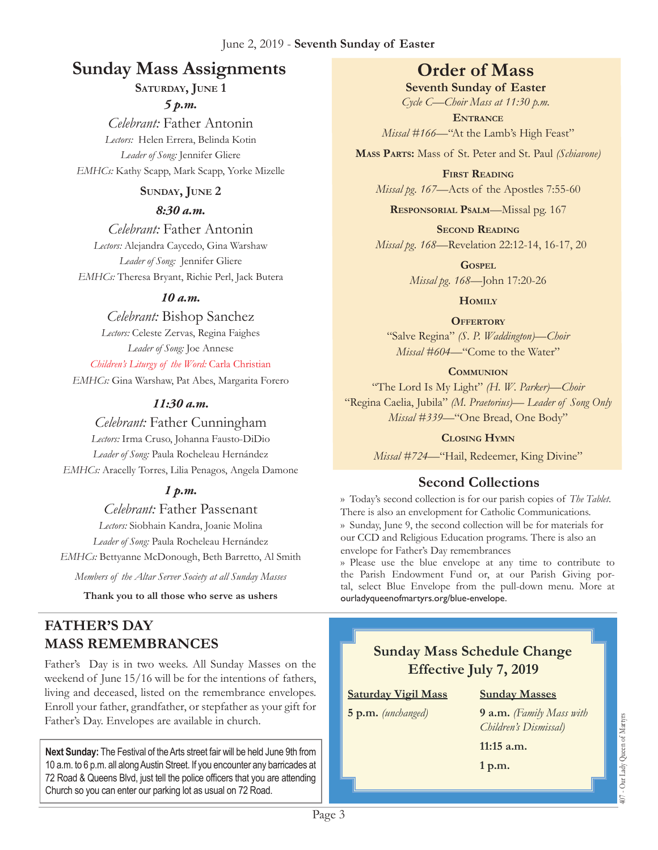# **Sunday Mass Assignments Order of Mass**

### SATURDAY, JUNE 1

*5 p.m.* 

*Celebrant:* Father Antonin *Lectors:* Helen Errera, Belinda Kotin *Leader of Song:* Jennifer Gliere *EMHCs:* Kathy Scapp, Mark Scapp, Yorke Mizelle

### **Sunday, June 2**

#### *8:30 a.m.*

*Celebrant:* Father Antonin *Lectors:* Alejandra Caycedo, Gina Warshaw *Leader of Song:* Jennifer Gliere *EMHCs:* Theresa Bryant, Richie Perl, Jack Butera

### *10 a.m.*

*Celebrant:* Bishop Sanchez *Lectors:* Celeste Zervas, Regina Faighes *Leader of Song:* Joe Annese *Children's Liturgy of the Word:* Carla Christian *EMHCs:* Gina Warshaw, Pat Abes, Margarita Forero

### *11:30 a.m.*

*Celebrant:* Father Cunningham *Lectors:* Irma Cruso, Johanna Fausto-DiDio *Leader of Song:* Paula Rocheleau Hernández *EMHCs:* Aracelly Torres, Lilia Penagos, Angela Damone

### *1 p.m.*

*Celebrant:* Father Passenant *Lectors:* Siobhain Kandra, Joanie Molina *Leader of Song:* Paula Rocheleau Hernández *EMHCs:* Bettyanne McDonough, Beth Barretto, Al Smith

*Members of the Altar Server Society at all Sunday Masses*

**Thank you to all those who serve as ushers**

# **Father's Day Mass Remembrances**

Father's Day is in two weeks. All Sunday Masses on the weekend of June 15/16 will be for the intentions of fathers, living and deceased, listed on the remembrance envelopes. Enroll your father, grandfather, or stepfather as your gift for Father's Day. Envelopes are available in church.

**Next Sunday:** The Festival of the Arts street fair will be held June 9th from 10 a.m. to 6 p.m. all along Austin Street. If you encounter any barricades at 72 Road & Queens Blvd, just tell the police officers that you are attending Church so you can enter our parking lot as usual on 72 Road.

**Seventh Sunday of Easter** *Cycle C—Choir Mass at 11:30 p.m.* 

**Entrance** *Missal #166—*"At the Lamb's High Feast"

**Mass Parts:** Mass of St. Peter and St. Paul *(Schiavone)*

**First Reading** *Missal pg. 167—*Acts of the Apostles 7:55-60

**Responsorial Psalm**—Missal pg. 167

**Second Reading** *Missal pg. 168—*Revelation 22:12-14, 16-17, 20

> **Gospel** *Missal pg. 168—*John 17:20-26

> > **Homily**

**OFFERTORY** "Salve Regina" *(S. P. Waddington)—Choir Missal* #604—"Come to the Water"

**Communion**

"The Lord Is My Light" *(H. W. Parker)—Choir* "Regina Caelia, Jubila" *(M. Praetorius)— Leader of Song Only Missal #339—*"One Bread, One Body"

### **Closing Hymn**

*Missal #724*—"Hail, Redeemer, King Divine"

# **Second Collections**

›› Today's second collection is for our parish copies of *The Tablet*. There is also an envelopment for Catholic Communications. ›› Sunday, June 9, the second collection will be for materials for our CCD and Religious Education programs. There is also an envelope for Father's Day remembrances

›› Please use the blue envelope at any time to contribute to the Parish Endowment Fund or, at our Parish Giving portal, select Blue Envelope from the pull-down menu. More at ourladyqueenofmartyrs.org/blue-envelope.

# **Sunday Mass Schedule Change Effective July 7, 2019**

**Saturday Vigil Mass**

**Sunday Masses**

**5 p.m.** *(unchanged)*

**9 a.m.** *(Family Mass with Children's Dismissal)*

**11:15 a.m.** 

**1 p.m.**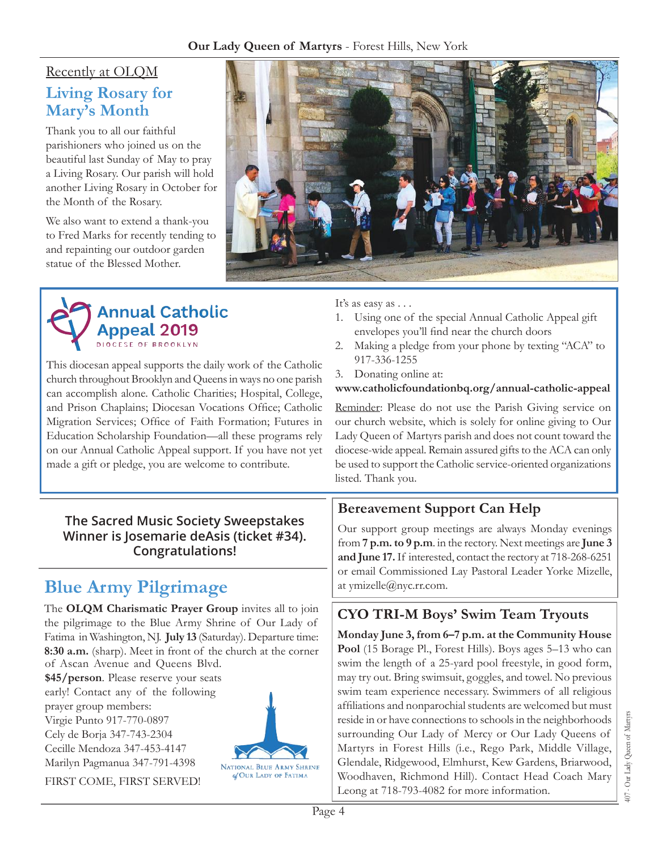# Recently at OLQM

# **Living Rosary for Mary's Month**

Thank you to all our faithful parishioners who joined us on the beautiful last Sunday of May to pray a Living Rosary. Our parish will hold another Living Rosary in October for the Month of the Rosary.

We also want to extend a thank-you to Fred Marks for recently tending to and repainting our outdoor garden statue of the Blessed Mother.





This diocesan appeal supports the daily work of the Catholic church throughout Brooklyn and Queens in ways no one parish can accomplish alone. Catholic Charities; Hospital, College, and Prison Chaplains; Diocesan Vocations Office; Catholic Migration Services; Office of Faith Formation; Futures in Education Scholarship Foundation—all these programs rely on our Annual Catholic Appeal support. If you have not yet made a gift or pledge, you are welcome to contribute.

**The Sacred Music Society Sweepstakes Winner is Josemarie deAsis (ticket #34). Congratulations!** 

# **Blue Army Pilgrimage**

The **OLQM Charismatic Prayer Group** invites all to join the pilgrimage to the Blue Army Shrine of Our Lady of Fatima in Washington, NJ. **July 13** (Saturday). Departure time: **8:30 a.m.** (sharp). Meet in front of the church at the corner of Ascan Avenue and Queens Blvd.

**\$45/person**. Please reserve your seats early! Contact any of the following prayer group members: Virgie Punto 917-770-0897 Cely de Borja 347-743-2304 Cecille Mendoza 347-453-4147 Marilyn Pagmanua 347-791-4398

FIRST COME, FIRST SERVED!



It's as easy as . . .

- 1. Using one of the special Annual Catholic Appeal gift envelopes you'll find near the church doors
- 2. Making a pledge from your phone by texting "ACA" to 917-336-1255
- 3. Donating online at:

#### **<www.catholicfoundationbq.org/annual>-catholic-appeal**

Reminder: Please do not use the Parish Giving service on our church website, which is solely for online giving to Our Lady Queen of Martyrs parish and does not count toward the diocese-wide appeal. Remain assured gifts to the ACA can only be used to support the Catholic service-oriented organizations listed. Thank you.

# **Bereavement Support Can Help**

Our support group meetings are always Monday evenings from **7 p.m. to 9 p.m**. in the rectory. Next meetings are **June 3 and June 17.** If interested, contact the rectory at 718-268-6251 or email Commissioned Lay Pastoral Leader Yorke Mizelle, at [ymizelle@nyc.rr.com.](mailto:ymizelle@nyc.rr.com)

# **CYO TRI-M Boys' Swim Team Tryouts**

**Monday June 3, from 6–7 p.m. at the Community House Pool** (15 Borage Pl., Forest Hills). Boys ages 5–13 who can swim the length of a 25-yard pool freestyle, in good form, may try out. Bring swimsuit, goggles, and towel. No previous swim team experience necessary. Swimmers of all religious affiliations and nonparochial students are welcomed but must reside in or have connections to schools in the neighborhoods surrounding Our Lady of Mercy or Our Lady Queens of Martyrs in Forest Hills (i.e., Rego Park, Middle Village, Glendale, Ridgewood, Elmhurst, Kew Gardens, Briarwood, Woodhaven, Richmond Hill). Contact Head Coach Mary Leong at 718-793-4082 for more information.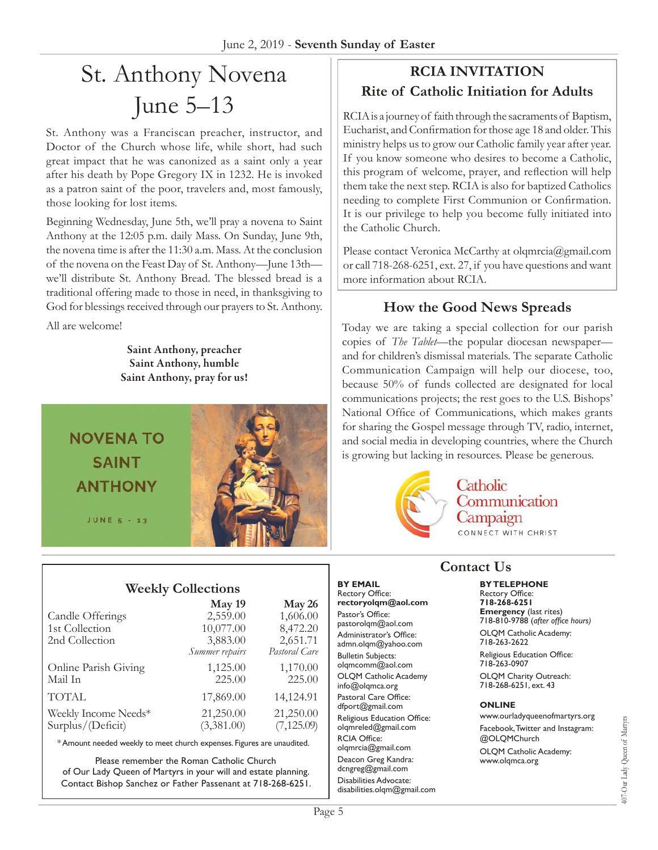# St. Anthony Novena June 5–13

St. Anthony was a Franciscan preacher, instructor, and Doctor of the Church whose life, while short, had such great impact that he was canonized as a saint only a year after his death by Pope Gregory IX in 1232. He is invoked as a patron saint of the poor, travelers and, most famously, those looking for lost items.

Beginning Wednesday, June 5th, we'll pray a novena to Saint Anthony at the 12:05 p.m. daily Mass. On Sunday, June 9th, the novena time is after the 11:30 a.m. Mass. At the conclusion of the novena on the Feast Day of St. Anthony—June 13th we'll distribute St. Anthony Bread. The blessed bread is a traditional offering made to those in need, in thanksgiving to God for blessings received through our prayers to St. Anthony.

All are welcome!

Saint Anthony, preacher Saint Anthony, humble Saint Anthony, pray for us!



### **Weekly Collections**

|                                           | May 19                     | May 26                    |
|-------------------------------------------|----------------------------|---------------------------|
| Candle Offerings                          | 2,559.00                   | 1,606.00                  |
| 1st Collection                            | 10,077.00                  | 8,472.20                  |
| 2nd Collection                            | 3,883.00<br>Summer repairs | 2,651.71<br>Pastoral Care |
| Online Parish Giving<br>Mail In           | 1,125.00<br>225.00         | 1,170.00<br>225.00        |
| <b>TOTAL</b>                              | 17,869.00                  | 14,124.91                 |
| Weekly Income Needs*<br>Surplus/(Deficit) | 21,250.00<br>(3,381.00)    | 21,250.00<br>(7, 125.09)  |

\* Amount needed weekly to meet church expenses. Figures are unaudited.

Please remember the Roman Catholic Church of Our Lady Queen of Martyrs in your will and estate planning. Contact Bishop Sanchez or Father Passenant at 718-268-6251.

# **RCIA Invitation Rite of Catholic Initiation for Adults**

RCIA is a journey of faith through the sacraments of Baptism, Eucharist, and Confirmation for those age 18 and older. This ministry helps us to grow our Catholic family year after year. If you know someone who desires to become a Catholic, this program of welcome, prayer, and reflection will help them take the next step. RCIA is also for baptized Catholics needing to complete First Communion or Confirmation. It is our privilege to help you become fully initiated into the Catholic Church.

Please contact Veronica McCarthy at olqmrcia[@gmail.com](mailto:rectoryolqm@aol.com) or call 718-268-6251, ext. 27, if you have questions and want more information about RCIA.

### **How the Good News Spreads**

Today we are taking a special collection for our parish copies of *The Tablet*—the popular diocesan newspaper and for children's dismissal materials. The separate Catholic Communication Campaign will help our diocese, too, because 50% of funds collected are designated for local communications projects; the rest goes to the U.S. Bishops' National Office of Communications, which makes grants for sharing the Gospel message through TV, radio, internet, and social media in developing countries, where the Church is growing but lacking in resources. Please be generous.



**By Email** Rectory Office: **rectoryolqm@aol.com**

Pastor's Office: pastorolqm@aol.com Administrator's Office: admn.olqm@yahoo.com Bulletin Subjects: olqmcomm@aol.com OLQM Catholic Academy info@olqmca.org Pastoral Care Office: dfport@gmail.com Religious Education Office: olqmreled@gmail.com RCIA Office: olqmrcia@gmail.com Deacon Greg Kandra: dcngreg@gmail.com Disabilities Advocate: [disabilities.olqm@gmail.com](mailto:disabilities.olqm@gmail.com) Catholic Communication Campaign CONNECT WITH CHRIST

# **Contact Us**

**By Telephone** Rectory Office: **718-268-6251 Emergency** (last rites) 718-810-9788 (*after office hours)* OLQM Catholic Academy: 718-263-2622 Religious Education Office: 718-263-0907 OLQM Charity Outreach:

718-268-6251, ext. 43

#### **Online**

www.ourladyqueenofmartyrs.org Facebook, Twitter and Instagram: @OLQMChurch OLQM Catholic Academy:

www.olqmca.org